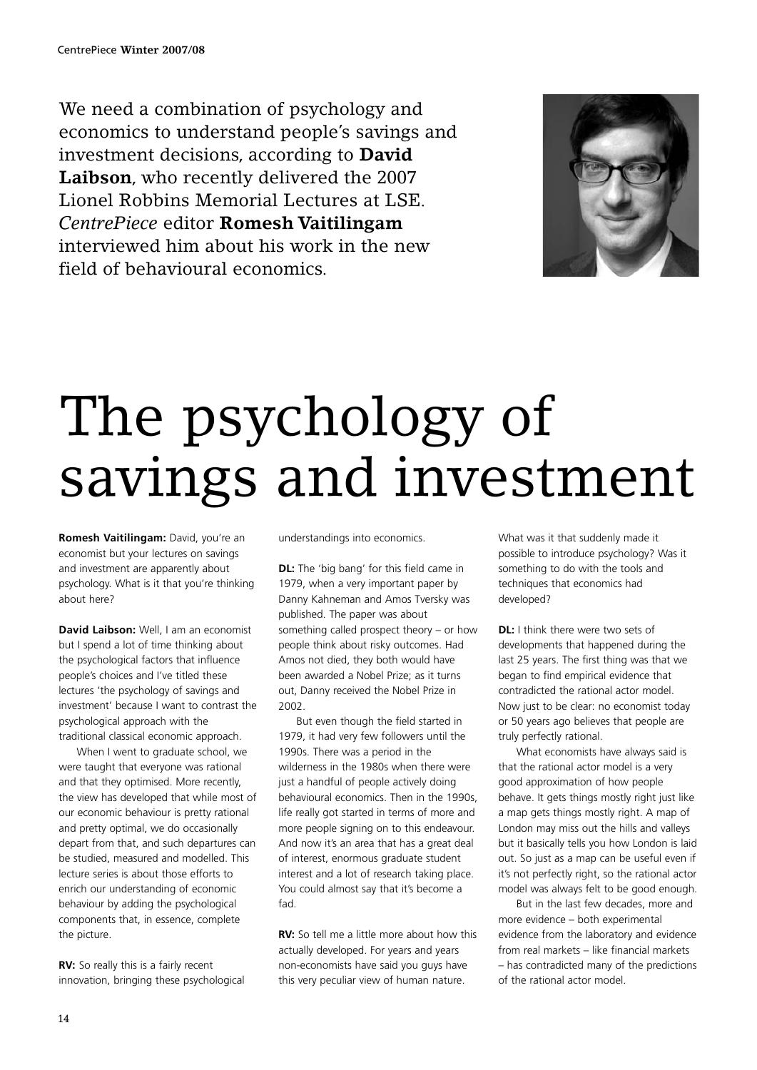We need a combination of psychology and economics to understand people's savings and investment decisions, according to **David Laibson**, who recently delivered the 2007 Lionel Robbins Memorial Lectures at LSE. *CentrePiece* editor **Romesh Vaitilingam** interviewed him about his work in the new field of behavioural economics.



## The psychology of savings and investment

**Romesh Vaitilingam:** David, you're an economist but your lectures on savings and investment are apparently about psychology. What is it that you're thinking about here?

**David Laibson:** Well, I am an economist but I spend a lot of time thinking about the psychological factors that influence people's choices and I've titled these lectures 'the psychology of savings and investment' because I want to contrast the psychological approach with the traditional classical economic approach.

When I went to graduate school, we were taught that everyone was rational and that they optimised. More recently, the view has developed that while most of our economic behaviour is pretty rational and pretty optimal, we do occasionally depart from that, and such departures can be studied, measured and modelled. This lecture series is about those efforts to enrich our understanding of economic behaviour by adding the psychological components that, in essence, complete the picture.

**RV:** So really this is a fairly recent innovation, bringing these psychological understandings into economics.

**DL:** The 'big bang' for this field came in 1979, when a very important paper by Danny Kahneman and Amos Tversky was published. The paper was about something called prospect theory – or how people think about risky outcomes. Had Amos not died, they both would have been awarded a Nobel Prize; as it turns out, Danny received the Nobel Prize in 2002.

But even though the field started in 1979, it had very few followers until the 1990s. There was a period in the wilderness in the 1980s when there were just a handful of people actively doing behavioural economics. Then in the 1990s, life really got started in terms of more and more people signing on to this endeavour. And now it's an area that has a great deal of interest, enormous graduate student interest and a lot of research taking place. You could almost say that it's become a fad.

**RV:** So tell me a little more about how this actually developed. For years and years non-economists have said you guys have this very peculiar view of human nature.

What was it that suddenly made it possible to introduce psychology? Was it something to do with the tools and techniques that economics had developed?

**DL:** I think there were two sets of developments that happened during the last 25 years. The first thing was that we began to find empirical evidence that contradicted the rational actor model. Now just to be clear: no economist today or 50 years ago believes that people are truly perfectly rational.

What economists have always said is that the rational actor model is a very good approximation of how people behave. It gets things mostly right just like a map gets things mostly right. A map of London may miss out the hills and valleys but it basically tells you how London is laid out. So just as a map can be useful even if it's not perfectly right, so the rational actor model was always felt to be good enough.

But in the last few decades, more and more evidence – both experimental evidence from the laboratory and evidence from real markets – like financial markets – has contradicted many of the predictions of the rational actor model.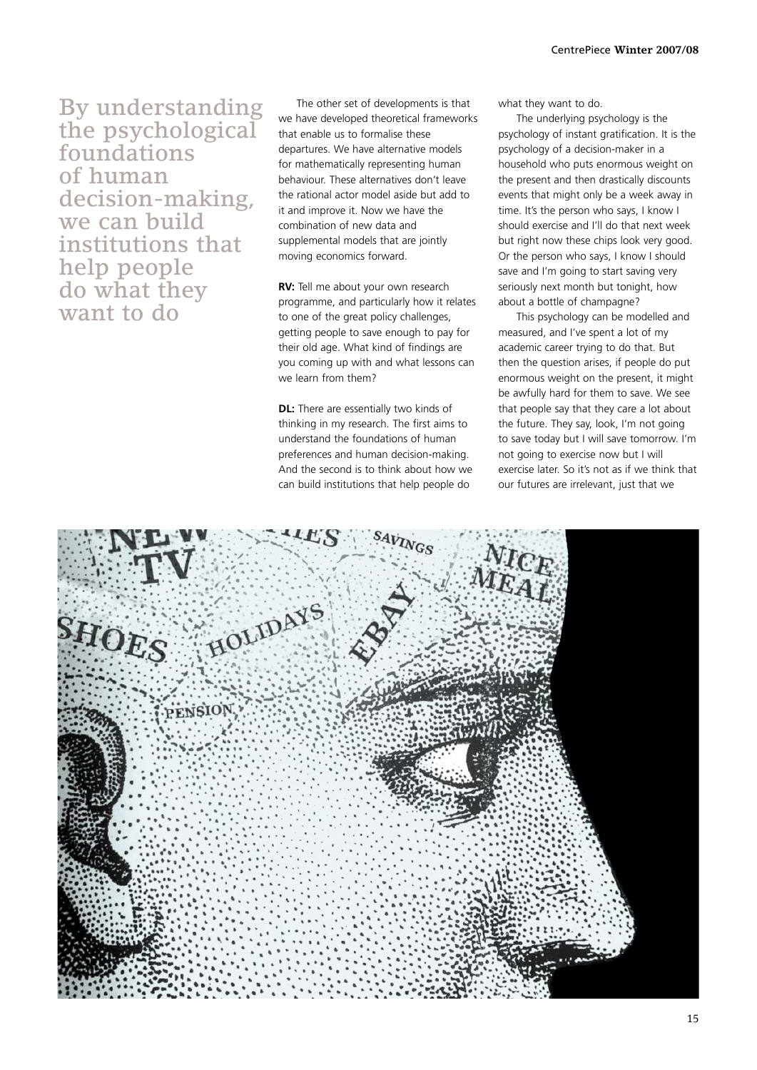By understanding the psychological foundations of human decision-making, we can build institutions that help people do what they want to do

The other set of developments is that we have developed theoretical frameworks that enable us to formalise these departures. We have alternative models for mathematically representing human behaviour. These alternatives don't leave the rational actor model aside but add to it and improve it. Now we have the combination of new data and supplemental models that are jointly moving economics forward.

**RV:** Tell me about your own research programme, and particularly how it relates to one of the great policy challenges, getting people to save enough to pay for their old age. What kind of findings are you coming up with and what lessons can we learn from them?

**DL:** There are essentially two kinds of thinking in my research. The first aims to understand the foundations of human preferences and human decision-making. And the second is to think about how we can build institutions that help people do

what they want to do.

The underlying psychology is the psychology of instant gratification. It is the psychology of a decision-maker in a household who puts enormous weight on the present and then drastically discounts events that might only be a week away in time. It's the person who says, I know I should exercise and I'll do that next week but right now these chips look very good. Or the person who says, I know I should save and I'm going to start saving very seriously next month but tonight, how about a bottle of champagne?

This psychology can be modelled and measured, and I've spent a lot of my academic career trying to do that. But then the question arises, if people do put enormous weight on the present, it might be awfully hard for them to save. We see that people say that they care a lot about the future. They say, look, I'm not going to save today but I will save tomorrow. I'm not going to exercise now but I will exercise later. So it's not as if we think that our futures are irrelevant, just that we

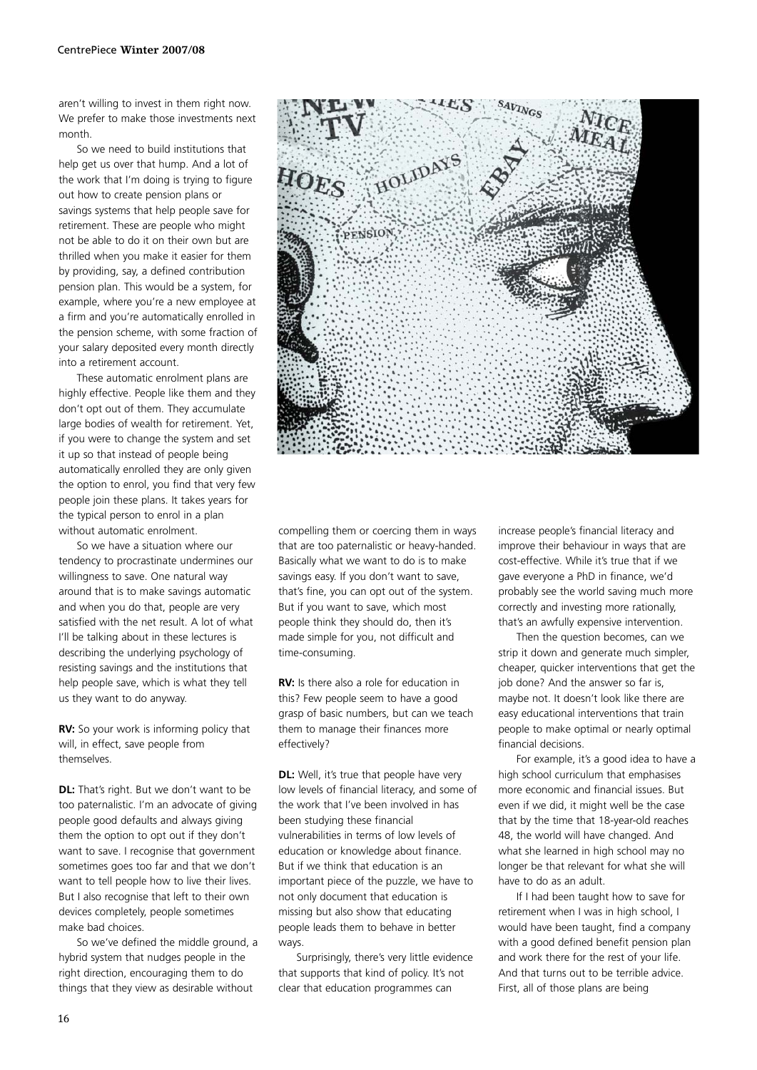aren't willing to invest in them right now. We prefer to make those investments next month.

So we need to build institutions that help get us over that hump. And a lot of the work that I'm doing is trying to figure out how to create pension plans or savings systems that help people save for retirement. These are people who might not be able to do it on their own but are thrilled when you make it easier for them by providing, say, a defined contribution pension plan. This would be a system, for example, where you're a new employee at a firm and you're automatically enrolled in the pension scheme, with some fraction of your salary deposited every month directly into a retirement account.

These automatic enrolment plans are highly effective. People like them and they don't opt out of them. They accumulate large bodies of wealth for retirement. Yet, if you were to change the system and set it up so that instead of people being automatically enrolled they are only given the option to enrol, you find that very few people join these plans. It takes years for the typical person to enrol in a plan without automatic enrolment.

So we have a situation where our tendency to procrastinate undermines our willingness to save. One natural way around that is to make savings automatic and when you do that, people are very satisfied with the net result. A lot of what I'll be talking about in these lectures is describing the underlying psychology of resisting savings and the institutions that help people save, which is what they tell us they want to do anyway.

**RV:** So your work is informing policy that will, in effect, save people from themselves.

**DL:** That's right. But we don't want to be too paternalistic. I'm an advocate of giving people good defaults and always giving them the option to opt out if they don't want to save. I recognise that government sometimes goes too far and that we don't want to tell people how to live their lives. But I also recognise that left to their own devices completely, people sometimes make bad choices.

So we've defined the middle ground, a hybrid system that nudges people in the right direction, encouraging them to do things that they view as desirable without



compelling them or coercing them in ways that are too paternalistic or heavy-handed. Basically what we want to do is to make savings easy. If you don't want to save, that's fine, you can opt out of the system. But if you want to save, which most people think they should do, then it's made simple for you, not difficult and time-consuming.

**RV:** Is there also a role for education in this? Few people seem to have a good grasp of basic numbers, but can we teach them to manage their finances more effectively?

**DL:** Well, it's true that people have very low levels of financial literacy, and some of the work that I've been involved in has been studying these financial vulnerabilities in terms of low levels of education or knowledge about finance. But if we think that education is an important piece of the puzzle, we have to not only document that education is missing but also show that educating people leads them to behave in better ways.

Surprisingly, there's very little evidence that supports that kind of policy. It's not clear that education programmes can

increase people's financial literacy and improve their behaviour in ways that are cost-effective. While it's true that if we gave everyone a PhD in finance, we'd probably see the world saving much more correctly and investing more rationally, that's an awfully expensive intervention.

Then the question becomes, can we strip it down and generate much simpler, cheaper, quicker interventions that get the job done? And the answer so far is, maybe not. It doesn't look like there are easy educational interventions that train people to make optimal or nearly optimal financial decisions.

For example, it's a good idea to have a high school curriculum that emphasises more economic and financial issues. But even if we did, it might well be the case that by the time that 18-year-old reaches 48, the world will have changed. And what she learned in high school may no longer be that relevant for what she will have to do as an adult.

If I had been taught how to save for retirement when I was in high school, I would have been taught, find a company with a good defined benefit pension plan and work there for the rest of your life. And that turns out to be terrible advice. First, all of those plans are being